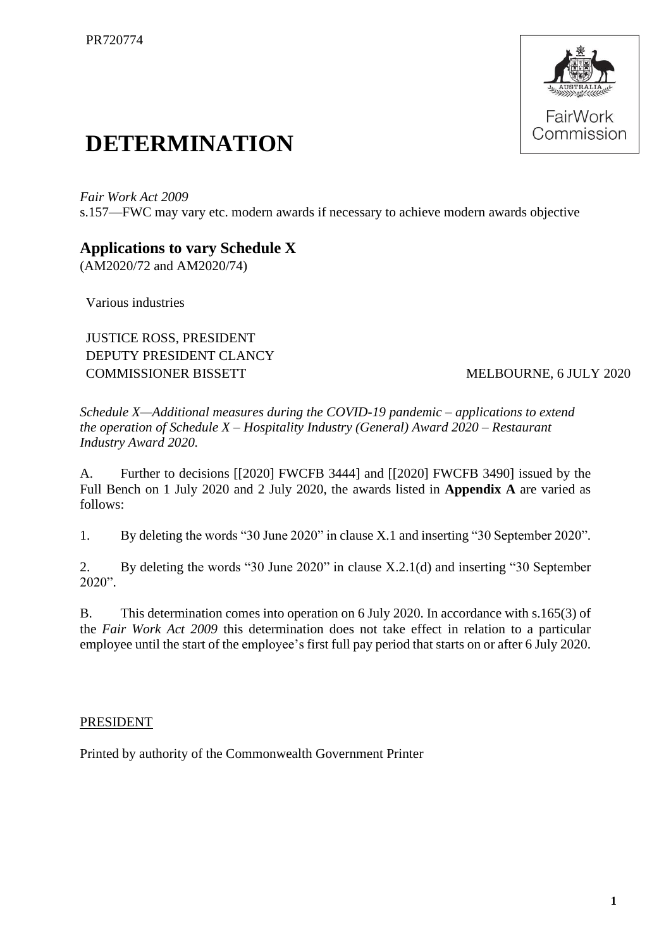

## **DETERMINATION**

*Fair Work Act 2009*  s.157—FWC may vary etc. modern awards if necessary to achieve modern awards objective

## **Applications to vary Schedule X**

(AM2020/72 and AM2020/74)

Various industries

JUSTICE ROSS, PRESIDENT DEPUTY PRESIDENT CLANCY COMMISSIONER BISSETT MELBOURNE, 6 JULY 2020

*Schedule X—Additional measures during the COVID-19 pandemic – applications to extend the operation of Schedule X – Hospitality Industry (General) Award 2020 – Restaurant Industry Award 2020.*

A. Further to decisions [[2020] FWCFB 3444] and [[2020] FWCFB 3490] issued by the Full Bench on 1 July 2020 and 2 July 2020, the awards listed in **Appendix A** are varied as follows:

1. By deleting the words "30 June 2020" in clause X.1 and inserting "30 September 2020".

2. By deleting the words "30 June 2020" in clause X.2.1(d) and inserting "30 September 2020".

B. This determination comes into operation on 6 July 2020. In accordance with s.165(3) of the *Fair Work Act 2009* this determination does not take effect in relation to a particular employee until the start of the employee's first full pay period that starts on or after 6 July 2020.

## PRESIDENT

Printed by authority of the Commonwealth Government Printer